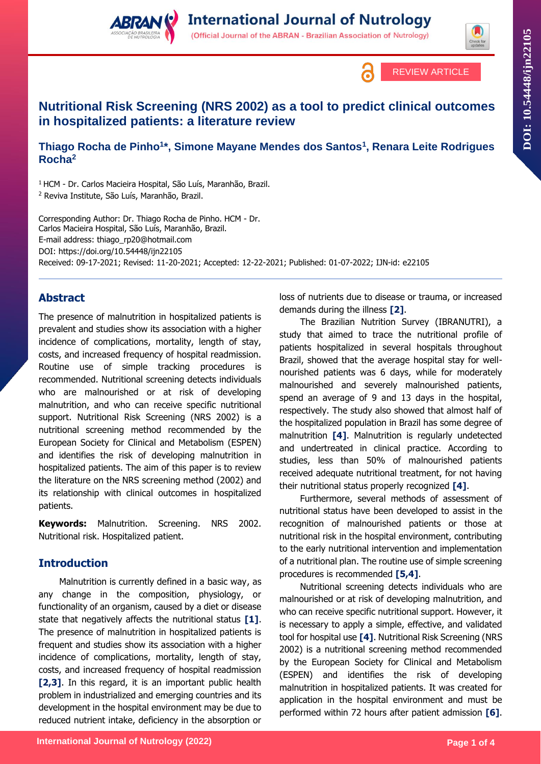





# **Nutritional Risk Screening (NRS 2002) as a tool to predict clinical outcomes in hospitalized patients: a literature review**

**Thiago Rocha de Pinho<sup>1</sup> \*, Simone Mayane Mendes dos Santos<sup>1</sup> , Renara Leite Rodrigues Rocha<sup>2</sup>**

<sup>1</sup> HCM - Dr. Carlos Macieira Hospital, São Luís, Maranhão, Brazil. <sup>2</sup> Reviva Institute, São Luís, Maranhão, Brazil.

Corresponding Author: Dr. Thiago Rocha de Pinho. HCM - Dr. Carlos Macieira Hospital, São Luís, Maranhão, Brazil. E-mail address: thiago\_rp20@hotmail.com DOI: https://doi.org/10.54448/ijn22105 Received: 09-17-2021; Revised: 11-20-2021; Accepted: 12-22-2021; Published: 01-07-2022; IJN-id: e22105

## **Abstract**

The presence of malnutrition in hospitalized patients is prevalent and studies show its association with a higher incidence of complications, mortality, length of stay, costs, and increased frequency of hospital readmission. Routine use of simple tracking procedures is recommended. Nutritional screening detects individuals who are malnourished or at risk of developing malnutrition, and who can receive specific nutritional support. Nutritional Risk Screening (NRS 2002) is a nutritional screening method recommended by the European Society for Clinical and Metabolism (ESPEN) and identifies the risk of developing malnutrition in hospitalized patients. The aim of this paper is to review the literature on the NRS screening method (2002) and its relationship with clinical outcomes in hospitalized patients.

**Keywords:** Malnutrition. Screening. NRS 2002. Nutritional risk. Hospitalized patient.

## **Introduction**

Malnutrition is currently defined in a basic way, as any change in the composition, physiology, or functionality of an organism, caused by a diet or disease state that negatively affects the nutritional status **[1]**. The presence of malnutrition in hospitalized patients is frequent and studies show its association with a higher incidence of complications, mortality, length of stay, costs, and increased frequency of hospital readmission **[2,3]**. In this regard, it is an important public health problem in industrialized and emerging countries and its development in the hospital environment may be due to reduced nutrient intake, deficiency in the absorption or

loss of nutrients due to disease or trauma, or increased demands during the illness **[2]**.

The Brazilian Nutrition Survey (IBRANUTRI), a study that aimed to trace the nutritional profile of patients hospitalized in several hospitals throughout Brazil, showed that the average hospital stay for wellnourished patients was 6 days, while for moderately malnourished and severely malnourished patients, spend an average of 9 and 13 days in the hospital, respectively. The study also showed that almost half of the hospitalized population in Brazil has some degree of malnutrition **[4]**. Malnutrition is regularly undetected and undertreated in clinical practice. According to studies, less than 50% of malnourished patients received adequate nutritional treatment, for not having their nutritional status properly recognized **[4]**.

Furthermore, several methods of assessment of nutritional status have been developed to assist in the recognition of malnourished patients or those at nutritional risk in the hospital environment, contributing to the early nutritional intervention and implementation of a nutritional plan. The routine use of simple screening procedures is recommended **[5,4]**.

Nutritional screening detects individuals who are malnourished or at risk of developing malnutrition, and who can receive specific nutritional support. However, it is necessary to apply a simple, effective, and validated tool for hospital use **[4]**. Nutritional Risk Screening (NRS 2002) is a nutritional screening method recommended by the European Society for Clinical and Metabolism (ESPEN) and identifies the risk of developing malnutrition in hospitalized patients. It was created for application in the hospital environment and must be performed within 72 hours after patient admission **[6]**.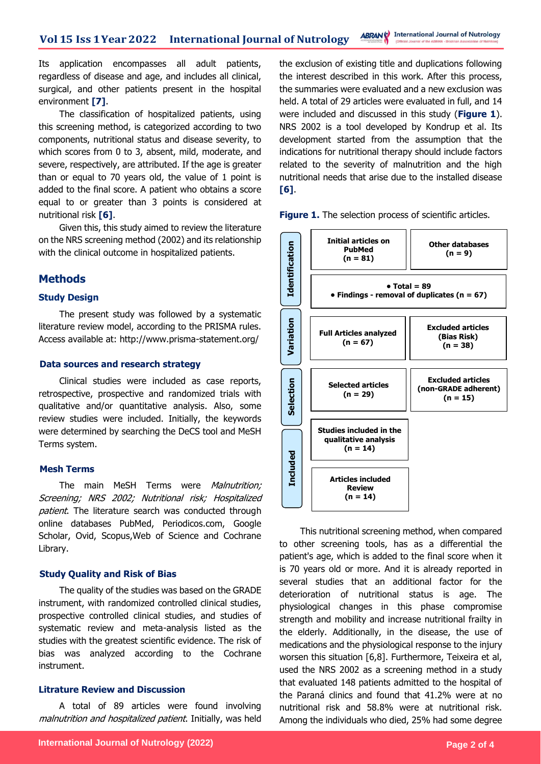Its application encompasses all adult patients, regardless of disease and age, and includes all clinical, surgical, and other patients present in the hospital environment **[7]**.

The classification of hospitalized patients, using this screening method, is categorized according to two components, nutritional status and disease severity, to which scores from 0 to 3, absent, mild, moderate, and severe, respectively, are attributed. If the age is greater than or equal to 70 years old, the value of 1 point is added to the final score. A patient who obtains a score equal to or greater than 3 points is considered at nutritional risk **[6]**.

Given this, this study aimed to review the literature on the NRS screening method (2002) and its relationship with the clinical outcome in hospitalized patients.

## **Methods**

## **Study Design**

The present study was followed by a systematic literature review model, according to the PRISMA rules. Access available at: http://www.prisma-statement.org/

### **Data sources and research strategy**

Clinical studies were included as case reports, retrospective, prospective and randomized trials with qualitative and/or quantitative analysis. Also, some review studies were included. Initially, the keywords were determined by searching the DeCS tool and MeSH Terms system.

## **Mesh Terms**

The main MeSH Terms were *Malnutrition;* Screening; NRS 2002; Nutritional risk; Hospitalized patient. The literature search was conducted through online databases PubMed, Periodicos.com, Google Scholar, Ovid, Scopus,Web of Science and Cochrane Library.

## **Study Quality and Risk of Bias**

The quality of the studies was based on the GRADE instrument, with randomized controlled clinical studies, prospective controlled clinical studies, and studies of systematic review and meta-analysis listed as the studies with the greatest scientific evidence. The risk of bias was analyzed according to the Cochrane instrument.

## **Litrature Review and Discussion**

A total of 89 articles were found involving malnutrition and hospitalized patient. Initially, was held the exclusion of existing title and duplications following the interest described in this work. After this process, the summaries were evaluated and a new exclusion was held. A total of 29 articles were evaluated in full, and 14 were included and discussed in this study (**Figure 1**). NRS 2002 is a tool developed by Kondrup et al. Its development started from the assumption that the indications for nutritional therapy should include factors related to the severity of malnutrition and the high nutritional needs that arise due to the installed disease **[6]**.

**Figure 1.** The selection process of scientific articles.



This nutritional screening method, when compared to other screening tools, has as a differential the patient's age, which is added to the final score when it is 70 years old or more. And it is already reported in several studies that an additional factor for the deterioration of nutritional status is age. The physiological changes in this phase compromise strength and mobility and increase nutritional frailty in the elderly. Additionally, in the disease, the use of medications and the physiological response to the injury worsen this situation [6,8]. Furthermore, Teixeira et al, used the NRS 2002 as a screening method in a study that evaluated 148 patients admitted to the hospital of the Paraná clinics and found that 41.2% were at no nutritional risk and 58.8% were at nutritional risk.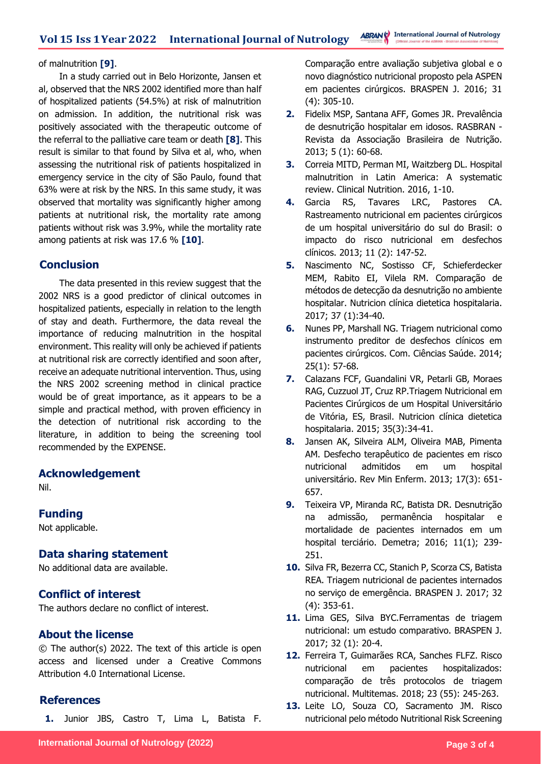#### of malnutrition **[9]**.

In a study carried out in Belo Horizonte, Jansen et al, observed that the NRS 2002 identified more than half of hospitalized patients (54.5%) at risk of malnutrition on admission. In addition, the nutritional risk was positively associated with the therapeutic outcome of the referral to the palliative care team or death **[8]**. This result is similar to that found by Silva et al, who, when assessing the nutritional risk of patients hospitalized in emergency service in the city of São Paulo, found that 63% were at risk by the NRS. In this same study, it was observed that mortality was significantly higher among patients at nutritional risk, the mortality rate among patients without risk was 3.9%, while the mortality rate among patients at risk was 17.6 % **[10]**.

## **Conclusion**

The data presented in this review suggest that the 2002 NRS is a good predictor of clinical outcomes in hospitalized patients, especially in relation to the length of stay and death. Furthermore, the data reveal the importance of reducing malnutrition in the hospital environment. This reality will only be achieved if patients at nutritional risk are correctly identified and soon after, receive an adequate nutritional intervention. Thus, using the NRS 2002 screening method in clinical practice would be of great importance, as it appears to be a simple and practical method, with proven efficiency in the detection of nutritional risk according to the literature, in addition to being the screening tool recommended by the EXPENSE.

## **Acknowledgement**

Nil.

## **Funding**

Not applicable.

## **Data sharing statement**

No additional data are available.

## **Conflict of interest**

The authors declare no conflict of interest.

## **About the license**

© The author(s) 2022. The text of this article is open access and licensed under a Creative Commons Attribution 4.0 International License.

## **References**

**1.** Junior JBS, Castro T, Lima L, Batista F.

Comparação entre avaliação subjetiva global e o novo diagnóstico nutricional proposto pela ASPEN em pacientes cirúrgicos. BRASPEN J. 2016; 31 (4): 305-10.

- **2.** Fidelix MSP, Santana AFF, Gomes JR. Prevalência de desnutrição hospitalar em idosos. RASBRAN - Revista da Associação Brasileira de Nutrição. 2013; 5 (1): 60-68.
- **3.** Correia MITD, Perman MI, Waitzberg DL. Hospital malnutrition in Latin America: A systematic review. Clinical Nutrition. 2016, 1-10.
- **4.** Garcia RS, Tavares LRC, Pastores CA. Rastreamento nutricional em pacientes cirúrgicos de um hospital universitário do sul do Brasil: o impacto do risco nutricional em desfechos clínicos. 2013; 11 (2): 147-52.
- **5.** Nascimento NC, Sostisso CF, Schieferdecker MEM, Rabito EI, Vilela RM. Comparação de métodos de detecção da desnutrição no ambiente hospitalar. Nutricion clínica dietetica hospitalaria. 2017; 37 (1):34-40.
- **6.** Nunes PP, Marshall NG. Triagem nutricional como instrumento preditor de desfechos clínicos em pacientes cirúrgicos. Com. Ciências Saúde. 2014; 25(1): 57-68.
- **7.** Calazans FCF, Guandalini VR, Petarli GB, Moraes RAG, Cuzzuol JT, Cruz RP.Triagem Nutricional em Pacientes Cirúrgicos de um Hospital Universitário de Vitória, ES, Brasil. Nutricion clínica dietetica hospitalaria. 2015; 35(3):34-41.
- **8.** Jansen AK, Silveira ALM, Oliveira MAB, Pimenta AM. Desfecho terapêutico de pacientes em risco nutricional admitidos em um hospital universitário. Rev Min Enferm. 2013; 17(3): 651- 657.
- **9.** Teixeira VP, Miranda RC, Batista DR. Desnutrição na admissão, permanência hospitalar e mortalidade de pacientes internados em um hospital terciário. Demetra; 2016; 11(1); 239- 251.
- **10.** Silva FR, Bezerra CC, Stanich P, Scorza CS, Batista REA. Triagem nutricional de pacientes internados no serviço de emergência. BRASPEN J. 2017; 32 (4): 353-61.
- **11.** Lima GES, Silva BYC.Ferramentas de triagem nutricional: um estudo comparativo. BRASPEN J. 2017; 32 (1): 20-4.
- **12.** Ferreira T, Guimarães RCA, Sanches FLFZ. Risco nutricional em pacientes hospitalizados: comparação de três protocolos de triagem nutricional. Multitemas. 2018; 23 (55): 245-263.
- **13.** Leite LO, Souza CO, Sacramento JM. Risco nutricional pelo método Nutritional Risk Screening